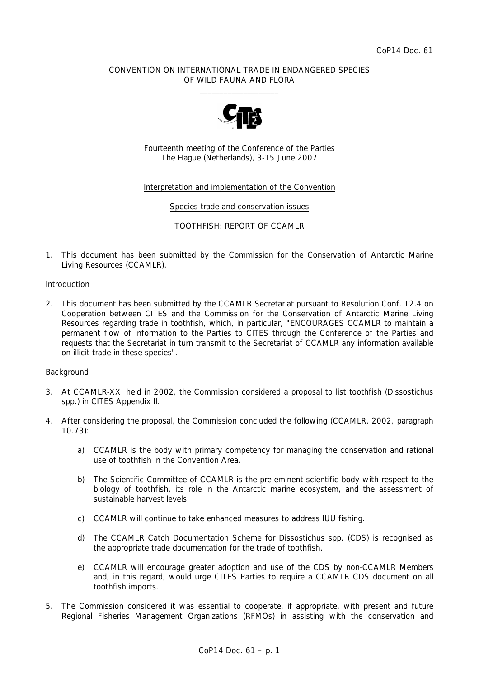## CONVENTION ON INTERNATIONAL TRADE IN ENDANGERED SPECIES OF WILD FAUNA AND FLORA  $\overline{\phantom{a}}$  , which is the set of the set of the set of the set of the set of the set of the set of the set of the set of the set of the set of the set of the set of the set of the set of the set of the set of the set of



Fourteenth meeting of the Conference of the Parties The Hague (Netherlands), 3-15 June 2007

## Interpretation and implementation of the Convention

Species trade and conservation issues

TOOTHFISH: REPORT OF CCAMLR

1. This document has been submitted by the Commission for the Conservation of Antarctic Marine Living Resources (CCAMLR).

#### Introduction

2. This document has been submitted by the CCAMLR Secretariat pursuant to Resolution Conf. 12.4 on Cooperation between CITES and the Commission for the Conservation of Antarctic Marine Living Resources regarding trade in toothfish, which, in particular, *"*ENCOURAGES CCAMLR to maintain a permanent flow of information to the Parties to CITES through the Conference of the Parties and requests that the Secretariat in turn transmit to the Secretariat of CCAMLR any information available on illicit trade in these species*"*.

#### Background

- 3. At CCAMLR-XXI held in 2002, the Commission considered a proposal to list toothfish (*Dissostichus* spp.) in CITES Appendix II.
- 4. After considering the proposal, the Commission concluded the following (CCAMLR, 2002, paragraph 10.73):
	- *a) CCAMLR is the body with primary competency for managing the conservation and rational use of toothfish in the Convention Area.*
	- *b) The Scientific Committee of CCAMLR is the pre-eminent scientific body with respect to the biology of toothfish, its role in the Antarctic marine ecosystem, and the assessment of sustainable harvest levels.*
	- *c) CCAMLR will continue to take enhanced measures to address IUU fishing.*
	- *d) The CCAMLR Catch Documentation Scheme for* Dissostichus *spp. (CDS) is recognised as the appropriate trade documentation for the trade of toothfish.*
	- *e) CCAMLR will encourage greater adoption and use of the CDS by non-CCAMLR Members*  and, in this regard, would urge CITES Parties to require a CCAMLR CDS document on all *toothfish imports.*
- 5. The Commission considered it was essential to cooperate, if appropriate, with present and future Regional Fisheries Management Organizations (RFMOs) in assisting with the conservation and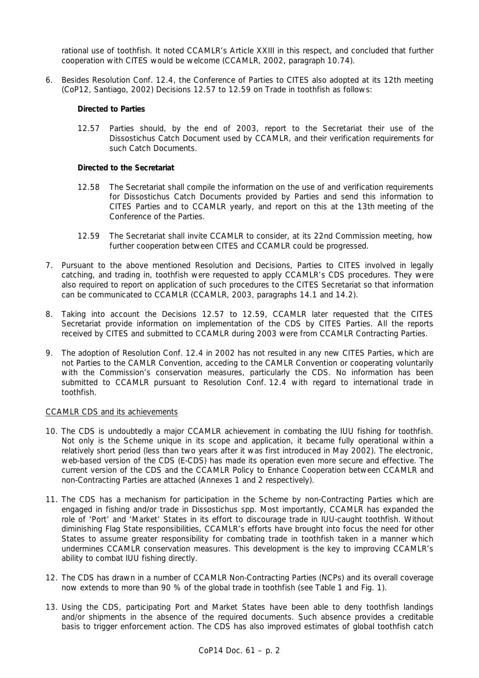rational use of toothfish. It noted CCAMLR's Article XXIII in this respect, and concluded that further cooperation with CITES would be welcome (CCAMLR, 2002, paragraph 10.74).

6. Besides Resolution Conf. 12.4, the Conference of Parties to CITES also adopted at its 12th meeting (CoP12, Santiago, 2002) Decisions 12.57 to 12.59 on Trade in toothfish as follows:

## *Directed to Parties*

 *12.57 Parties should, by the end of 2003, report to the Secretariat their use of the*  Dissostichus *Catch Document used by CCAMLR, and their verification requirements for such Catch Documents.* 

## *Directed to the Secretariat*

- *12.58 The Secretariat shall compile the information on the use of and verification requirements for* Dissostichus *Catch Documents provided by Parties and send this information to CITES Parties and to CCAMLR yearly, and report on this at the 13th meeting of the Conference of the Parties.*
- *12.59 The Secretariat shall invite CCAMLR to consider, at its 22nd Commission meeting, how further cooperation between CITES and CCAMLR could be progressed.*
- 7. Pursuant to the above mentioned Resolution and Decisions, Parties to CITES involved in legally catching, and trading in, toothfish were requested to apply CCAMLR's CDS procedures. They were also required to report on application of such procedures to the CITES Secretariat so that information can be communicated to CCAMLR (CCAMLR, 2003, paragraphs 14.1 and 14.2).
- 8. Taking into account the Decisions 12.57 to 12.59, CCAMLR later requested that the CITES Secretariat provide information on implementation of the CDS by CITES Parties. All the reports received by CITES and submitted to CCAMLR during 2003 were from CCAMLR Contracting Parties.
- 9. The adoption of Resolution Conf. 12.4 in 2002 has not resulted in any new CITES Parties, which are not Parties to the CAMLR Convention, acceding to the CAMLR Convention or cooperating voluntarily with the Commission's conservation measures, particularly the CDS. No information has been submitted to CCAMLR pursuant to Resolution Conf. 12.4 with regard to international trade in toothfish.

### CCAMLR CDS and its achievements

- 10. The CDS is undoubtedly a major CCAMLR achievement in combating the IUU fishing for toothfish. Not only is the Scheme unique in its scope and application, it became fully operational within a relatively short period (less than two years after it was first introduced in May 2002). The electronic, web-based version of the CDS (E-CDS) has made its operation even more secure and effective. The current version of the CDS and the CCAMLR Policy to Enhance Cooperation between CCAMLR and non-Contracting Parties are attached (Annexes 1 and 2 respectively).
- 11. The CDS has a mechanism for participation in the Scheme by non-Contracting Parties which are engaged in fishing and/or trade in *Dissostichus* spp. Most importantly, CCAMLR has expanded the role of 'Port' and 'Market' States in its effort to discourage trade in IUU-caught toothfish. Without diminishing Flag State responsibilities, CCAMLR's efforts have brought into focus the need for other States to assume greater responsibility for combating trade in toothfish taken in a manner which undermines CCAMLR conservation measures. This development is the key to improving CCAMLR's ability to combat IUU fishing directly.
- 12. The CDS has drawn in a number of CCAMLR Non-Contracting Parties (NCPs) and its overall coverage now extends to more than 90 % of the global trade in toothfish (see Table 1 and Fig. 1).
- 13. Using the CDS, participating Port and Market States have been able to deny toothfish landings and/or shipments in the absence of the required documents. Such absence provides a creditable basis to trigger enforcement action. The CDS has also improved estimates of global toothfish catch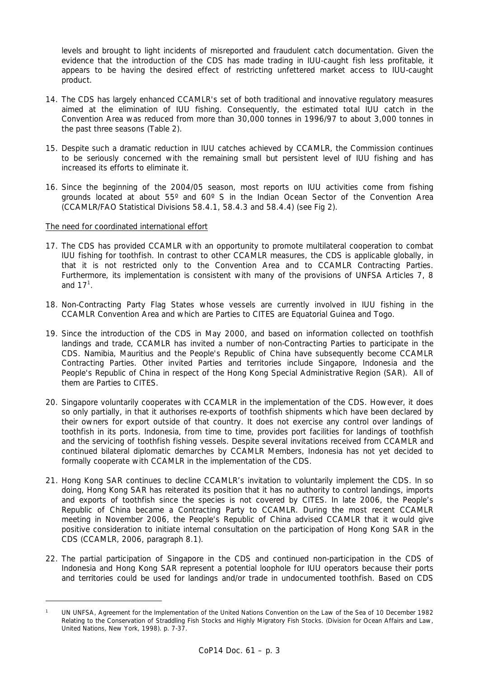levels and brought to light incidents of misreported and fraudulent catch documentation. Given the evidence that the introduction of the CDS has made trading in IUU-caught fish less profitable, it appears to be having the desired effect of restricting unfettered market access to IUU-caught product.

- 14. The CDS has largely enhanced CCAMLR's set of both traditional and innovative regulatory measures aimed at the elimination of IUU fishing. Consequently, the estimated total IUU catch in the Convention Area was reduced from more than 30,000 tonnes in 1996/97 to about 3,000 tonnes in the past three seasons (Table 2).
- 15. Despite such a dramatic reduction in IUU catches achieved by CCAMLR, the Commission continues to be seriously concerned with the remaining small but persistent level of IUU fishing and has increased its efforts to eliminate it.
- 16. Since the beginning of the 2004/05 season, most reports on IUU activities come from fishing grounds located at about 55º and 60º S in the Indian Ocean Sector of the Convention Area (CCAMLR/FAO Statistical Divisions 58.4.1, 58.4.3 and 58.4.4) (see Fig 2).

# The need for coordinated international effort

- 17. The CDS has provided CCAMLR with an opportunity to promote multilateral cooperation to combat IUU fishing for toothfish. In contrast to other CCAMLR measures, the CDS is applicable globally, in that it is not restricted only to the Convention Area and to CCAMLR Contracting Parties. Furthermore, its implementation is consistent with many of the provisions of UNFSA Articles 7, 8 and 17<sup>1</sup>.
- 18. Non-Contracting Party Flag States whose vessels are currently involved in IUU fishing in the CCAMLR Convention Area and which are Parties to CITES are Equatorial Guinea and Togo.
- 19. Since the introduction of the CDS in May 2000, and based on information collected on toothfish landings and trade, CCAMLR has invited a number of non-Contracting Parties to participate in the CDS. Namibia, Mauritius and the People's Republic of China have subsequently become CCAMLR Contracting Parties. Other invited Parties and territories include Singapore, Indonesia and the People's Republic of China in respect of the Hong Kong Special Administrative Region (SAR). All of them are Parties to CITES.
- 20. Singapore voluntarily cooperates with CCAMLR in the implementation of the CDS. However, it does so only partially, in that it authorises re-exports of toothfish shipments which have been declared by their owners for export outside of that country. It does not exercise any control over landings of toothfish in its ports. Indonesia, from time to time, provides port facilities for landings of toothfish and the servicing of toothfish fishing vessels. Despite several invitations received from CCAMLR and continued bilateral diplomatic demarches by CCAMLR Members, Indonesia has not yet decided to formally cooperate with CCAMLR in the implementation of the CDS.
- 21. Hong Kong SAR continues to decline CCAMLR's invitation to voluntarily implement the CDS. In so doing, Hong Kong SAR has reiterated its position that it has no authority to control landings, imports and exports of toothfish since the species is not covered by CITES. In late 2006, the People's Republic of China became a Contracting Party to CCAMLR. During the most recent CCAMLR meeting in November 2006, the People's Republic of China advised CCAMLR that it would give positive consideration to initiate internal consultation on the participation of Hong Kong SAR in the CDS (CCAMLR, 2006, paragraph 8.1).
- 22. The partial participation of Singapore in the CDS and continued non-participation in the CDS of Indonesia and Hong Kong SAR represent a potential loophole for IUU operators because their ports and territories could be used for landings and/or trade in undocumented toothfish. Based on CDS

*<sup>1</sup> UN UNFSA, Agreement for the Implementation of the United Nations Convention on the Law of the Sea of 10 December 1982 Relating to the Conservation of Straddling Fish Stocks and Highly Migratory Fish Stocks. (Division for Ocean Affairs and Law, United Nations, New York, 1998). p. 7-37.*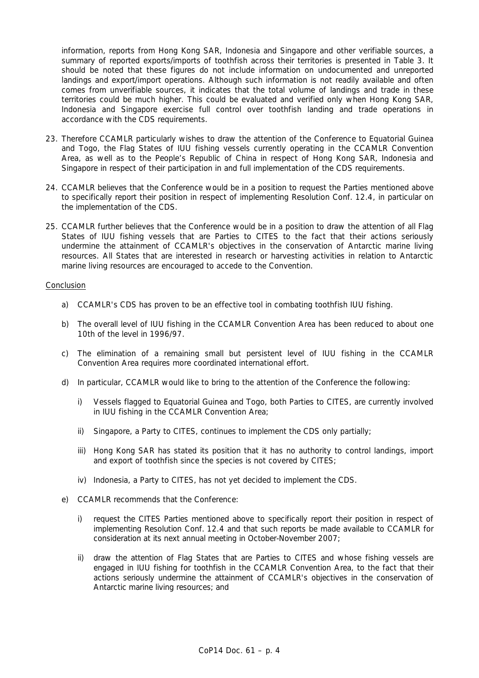information, reports from Hong Kong SAR, Indonesia and Singapore and other verifiable sources, a summary of reported exports/imports of toothfish across their territories is presented in Table 3. It should be noted that these figures do not include information on undocumented and unreported landings and export/import operations. Although such information is not readily available and often comes from unverifiable sources, it indicates that the total volume of landings and trade in these territories could be much higher. This could be evaluated and verified only when Hong Kong SAR, Indonesia and Singapore exercise full control over toothfish landing and trade operations in accordance with the CDS requirements.

- 23. Therefore CCAMLR particularly wishes to draw the attention of the Conference to Equatorial Guinea and Togo, the Flag States of IUU fishing vessels currently operating in the CCAMLR Convention Area, as well as to the People's Republic of China in respect of Hong Kong SAR, Indonesia and Singapore in respect of their participation in and full implementation of the CDS requirements.
- 24. CCAMLR believes that the Conference would be in a position to request the Parties mentioned above to specifically report their position in respect of implementing Resolution Conf. 12.4, in particular on the implementation of the CDS.
- 25. CCAMLR further believes that the Conference would be in a position to draw the attention of all Flag States of IUU fishing vessels that are Parties to CITES to the fact that their actions seriously undermine the attainment of CCAMLR's objectives in the conservation of Antarctic marine living resources. All States that are interested in research or harvesting activities in relation to Antarctic marine living resources are encouraged to accede to the Convention.

## Conclusion

- a) CCAMLR's CDS has proven to be an effective tool in combating toothfish IUU fishing.
- b) The overall level of IUU fishing in the CCAMLR Convention Area has been reduced to about one 10th of the level in 1996/97.
- c) The elimination of a remaining small but persistent level of IUU fishing in the CCAMLR Convention Area requires more coordinated international effort.
- d) In particular, CCAMLR would like to bring to the attention of the Conference the following:
	- i) Vessels flagged to Equatorial Guinea and Togo, both Parties to CITES, are currently involved in IUU fishing in the CCAMLR Convention Area;
	- ii) Singapore, a Party to CITES, continues to implement the CDS only partially;
	- iii) Hong Kong SAR has stated its position that it has no authority to control landings, import and export of toothfish since the species is not covered by CITES;
	- iv) Indonesia, a Party to CITES, has not yet decided to implement the CDS.
- e) CCAMLR recommends that the Conference:
	- i) request the CITES Parties mentioned above to specifically report their position in respect of implementing Resolution Conf. 12.4 and that such reports be made available to CCAMLR for consideration at its next annual meeting in October-November 2007;
	- ii) draw the attention of Flag States that are Parties to CITES and whose fishing vessels are engaged in IUU fishing for toothfish in the CCAMLR Convention Area, to the fact that their actions seriously undermine the attainment of CCAMLR's objectives in the conservation of Antarctic marine living resources; and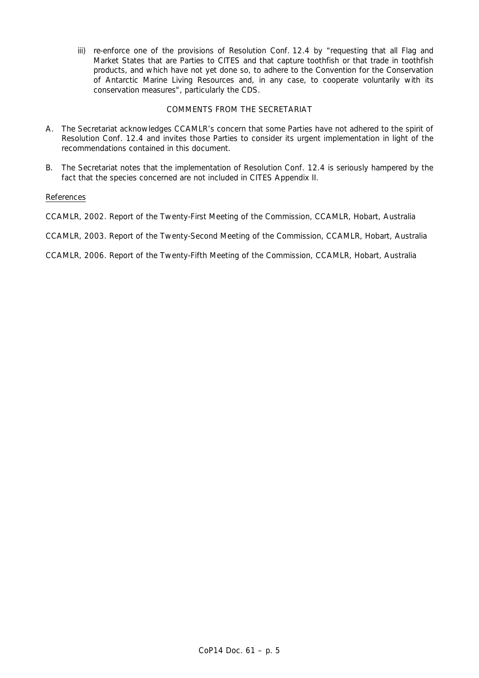iii) re-enforce one of the provisions of Resolution Conf. 12.4 by "requesting that all Flag and Market States that are Parties to CITES and that capture toothfish or that trade in toothfish products, and which have not yet done so, to adhere to the Convention for the Conservation of Antarctic Marine Living Resources and, in any case, to cooperate voluntarily with its conservation measures", particularly the CDS.

## COMMENTS FROM THE SECRETARIAT

- A. The Secretariat acknowledges CCAMLR's concern that some Parties have not adhered to the spirit of Resolution Conf. 12.4 and invites those Parties to consider its urgent implementation in light of the recommendations contained in this document.
- B. The Secretariat notes that the implementation of Resolution Conf. 12.4 is seriously hampered by the fact that the species concerned are not included in CITES Appendix II.

## References

CCAMLR, 2002. Report of the Twenty-First Meeting of the Commission, CCAMLR, Hobart, Australia

CCAMLR, 2003. Report of the Twenty-Second Meeting of the Commission, CCAMLR, Hobart, Australia

CCAMLR, 2006. Report of the Twenty-Fifth Meeting of the Commission, CCAMLR, Hobart, Australia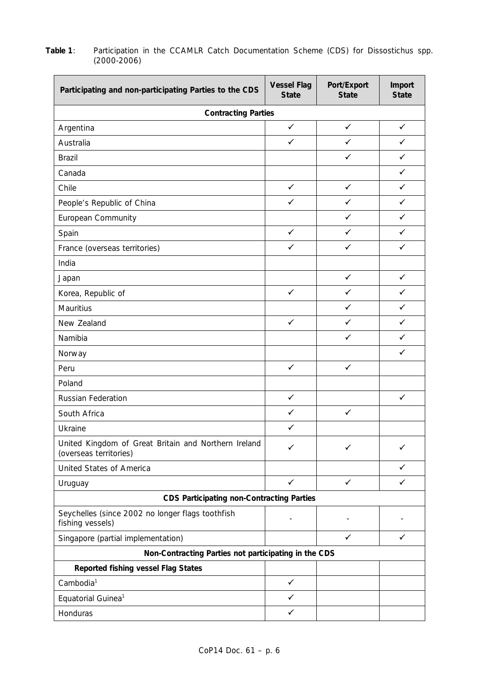# **Table 1**: Participation in the CCAMLR Catch Documentation Scheme (CDS) for Dissostichus spp. (2000-2006)

| Participating and non-participating Parties to the CDS                         | <b>Vessel Flag</b><br><b>State</b> | Port/Export<br><b>State</b> | Import<br><b>State</b> |  |  |  |  |
|--------------------------------------------------------------------------------|------------------------------------|-----------------------------|------------------------|--|--|--|--|
| <b>Contracting Parties</b>                                                     |                                    |                             |                        |  |  |  |  |
| Argentina                                                                      | $\checkmark$                       | $\checkmark$                | $\checkmark$           |  |  |  |  |
| Australia                                                                      | $\checkmark$                       | ✓                           | ✓                      |  |  |  |  |
| <b>Brazil</b>                                                                  |                                    | ✓                           | ✓                      |  |  |  |  |
| Canada                                                                         |                                    |                             | $\checkmark$           |  |  |  |  |
| Chile                                                                          | $\checkmark$                       | $\checkmark$                | ✓                      |  |  |  |  |
| People's Republic of China                                                     | $\checkmark$                       | $\checkmark$                | ✓                      |  |  |  |  |
| European Community                                                             |                                    | ✓                           | ✓                      |  |  |  |  |
| Spain                                                                          | $\checkmark$                       | ✓                           | ✓                      |  |  |  |  |
| France (overseas territories)                                                  | ✓                                  | ✓                           | ✓                      |  |  |  |  |
| India                                                                          |                                    |                             |                        |  |  |  |  |
| Japan                                                                          |                                    | $\checkmark$                | ✓                      |  |  |  |  |
| Korea, Republic of                                                             | $\checkmark$                       | ✓                           | ✓                      |  |  |  |  |
| Mauritius                                                                      |                                    | ✓                           | $\checkmark$           |  |  |  |  |
| New Zealand                                                                    | $\checkmark$                       | ✓                           | ✓                      |  |  |  |  |
| Namibia                                                                        |                                    | ✓                           | ✓                      |  |  |  |  |
| Norway                                                                         |                                    |                             | ✓                      |  |  |  |  |
| Peru                                                                           | $\checkmark$                       | $\checkmark$                |                        |  |  |  |  |
| Poland                                                                         |                                    |                             |                        |  |  |  |  |
| <b>Russian Federation</b>                                                      | $\checkmark$                       |                             | ✓                      |  |  |  |  |
| South Africa                                                                   | ✓                                  | $\checkmark$                |                        |  |  |  |  |
| Ukraine                                                                        | ✓                                  |                             |                        |  |  |  |  |
| United Kingdom of Great Britain and Northern Ireland<br>(overseas territories) | ✓                                  |                             | ✓                      |  |  |  |  |
| United States of America                                                       |                                    |                             | ✓                      |  |  |  |  |
| Uruguay                                                                        | $\checkmark$                       | $\checkmark$                | ✓                      |  |  |  |  |
| <b>CDS Participating non-Contracting Parties</b>                               |                                    |                             |                        |  |  |  |  |
| Seychelles (since 2002 no longer flags toothfish<br>fishing vessels)           |                                    |                             |                        |  |  |  |  |
| Singapore (partial implementation)                                             |                                    | ✓                           | ✓                      |  |  |  |  |
| Non-Contracting Parties not participating in the CDS                           |                                    |                             |                        |  |  |  |  |
| Reported fishing vessel Flag States                                            |                                    |                             |                        |  |  |  |  |
| Cambodia <sup>1</sup>                                                          | $\checkmark$                       |                             |                        |  |  |  |  |
| Equatorial Guinea <sup>1</sup>                                                 | $\checkmark$                       |                             |                        |  |  |  |  |
| Honduras                                                                       | $\checkmark$                       |                             |                        |  |  |  |  |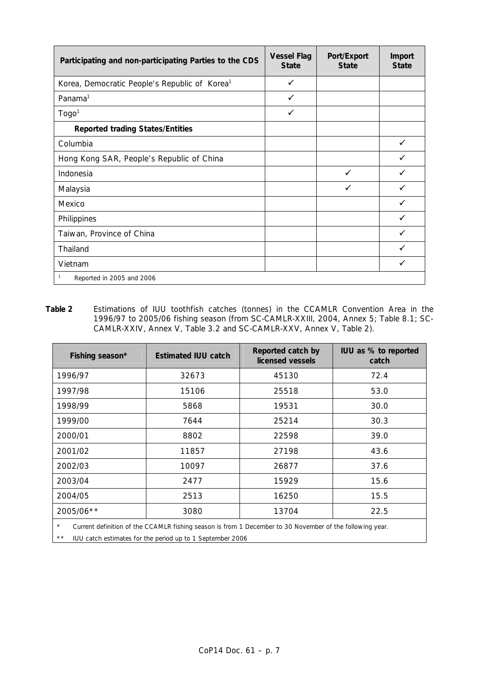| Participating and non-participating Parties to the CDS    | <b>Vessel Flag</b><br><b>State</b> | Port/Export<br><b>State</b> | Import<br><b>State</b> |
|-----------------------------------------------------------|------------------------------------|-----------------------------|------------------------|
| Korea, Democratic People's Republic of Korea <sup>1</sup> | ✓                                  |                             |                        |
| Panama <sup>1</sup>                                       | ✓                                  |                             |                        |
| Togo <sup>1</sup>                                         | ✓                                  |                             |                        |
| <b>Reported trading States/Entities</b>                   |                                    |                             |                        |
| Columbia                                                  |                                    |                             | ✓                      |
| Hong Kong SAR, People's Republic of China                 |                                    |                             |                        |
| Indonesia                                                 |                                    | ✓                           |                        |
| Malaysia                                                  |                                    | ✓                           |                        |
| Mexico                                                    |                                    |                             |                        |
| Philippines                                               |                                    |                             |                        |
| Taiwan, Province of China                                 |                                    |                             |                        |
| Thailand                                                  |                                    |                             |                        |
| Vietnam                                                   |                                    |                             |                        |
| $\boldsymbol{\tau}$<br>Reported in 2005 and 2006          |                                    |                             |                        |

**Table 2** Estimations of IUU toothfish catches (tonnes) in the CCAMLR Convention Area in the 1996/97 to 2005/06 fishing season (from SC-CAMLR-XXIII, 2004, Annex 5; Table 8.1; SC-CAMLR-XXIV, Annex V, Table 3.2 and SC-CAMLR-XXV, Annex V, Table 2).

| Fishing season*                                                                                                        | <b>Estimated IUU catch</b> | Reported catch by<br>licensed vessels | IUU as % to reported<br>catch |  |  |  |
|------------------------------------------------------------------------------------------------------------------------|----------------------------|---------------------------------------|-------------------------------|--|--|--|
| 1996/97                                                                                                                | 32673                      | 45130                                 | 72.4                          |  |  |  |
| 1997/98                                                                                                                | 15106                      | 25518                                 | 53.0                          |  |  |  |
| 1998/99                                                                                                                | 5868                       | 19531                                 | 30.0                          |  |  |  |
| 1999/00                                                                                                                | 7644                       | 25214                                 | 30.3                          |  |  |  |
| 2000/01                                                                                                                | 8802                       | 22598                                 | 39.0                          |  |  |  |
| 2001/02                                                                                                                | 11857                      | 27198                                 | 43.6                          |  |  |  |
| 2002/03                                                                                                                | 10097                      | 26877                                 | 37.6                          |  |  |  |
| 2003/04                                                                                                                | 2477                       | 15929                                 | 15.6                          |  |  |  |
| 2004/05                                                                                                                | 2513                       | 16250                                 | 15.5                          |  |  |  |
| 2005/06 **                                                                                                             | 3080                       | 13704                                 | 22.5                          |  |  |  |
| $^{\star}$<br>Current definition of the CCAMLR fishing season is from 1 December to 30 November of the following year. |                            |                                       |                               |  |  |  |

*\*\* IUU catch estimates for the period up to 1 September 2006*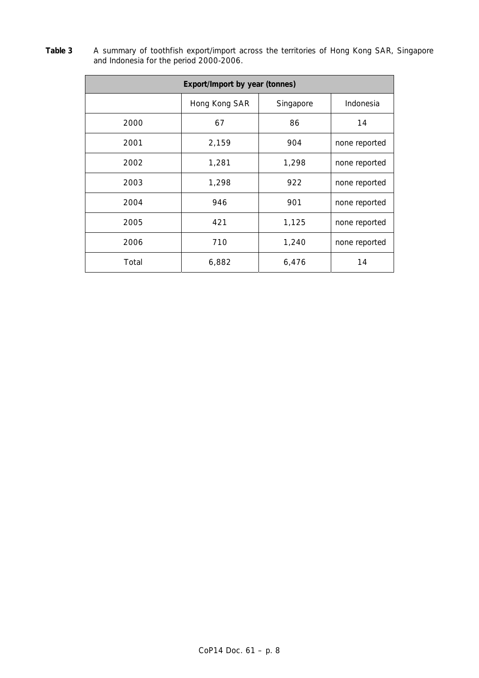| Export/Import by year (tonnes) |               |           |               |  |  |  |
|--------------------------------|---------------|-----------|---------------|--|--|--|
|                                | Hong Kong SAR | Singapore | Indonesia     |  |  |  |
| 2000                           | 67            | 86        | 14            |  |  |  |
| 2001                           | 2,159         | 904       | none reported |  |  |  |
| 2002                           | 1,281         | 1,298     | none reported |  |  |  |
| 2003                           | 1,298         | 922       | none reported |  |  |  |
| 2004                           | 946           | 901       | none reported |  |  |  |
| 2005                           | 421           | 1,125     | none reported |  |  |  |
| 2006                           | 710           | 1,240     | none reported |  |  |  |
| Total                          | 6,882         | 6,476     | 14            |  |  |  |

**Table 3** A summary of toothfish export/import across the territories of Hong Kong SAR, Singapore and Indonesia for the period 2000-2006.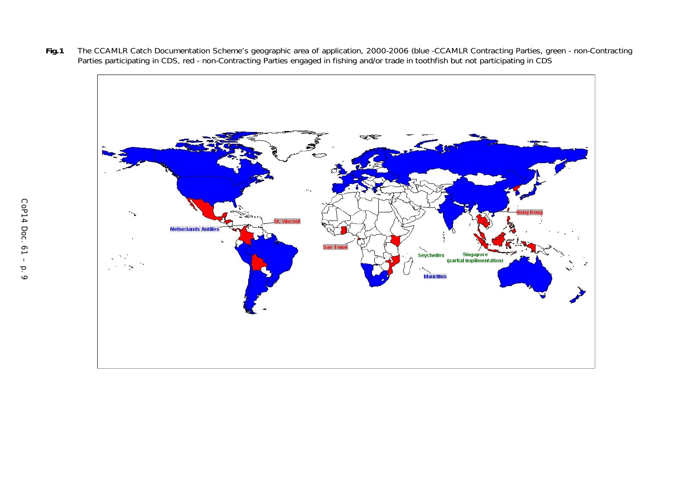**Fig.1** The *CCAMLR Catch Documentation Scheme's* geographic area of application, 2000-2006 (blue -CCAMLR Contracting Parties, green - non-Contracting Parties participating in CDS, red - non-Contracting Parties engaged in fishing and/or trade in toothfish but not participating in CDS

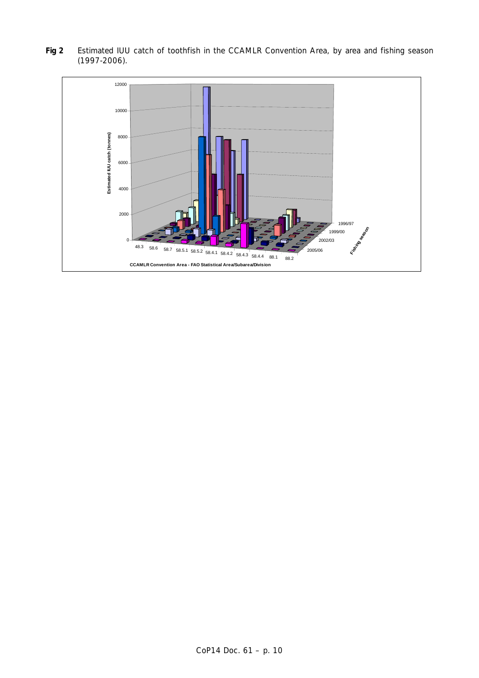**Fig 2** Estimated IUU catch of toothfish in the CCAMLR Convention Area, by area and fishing season (1997-2006).

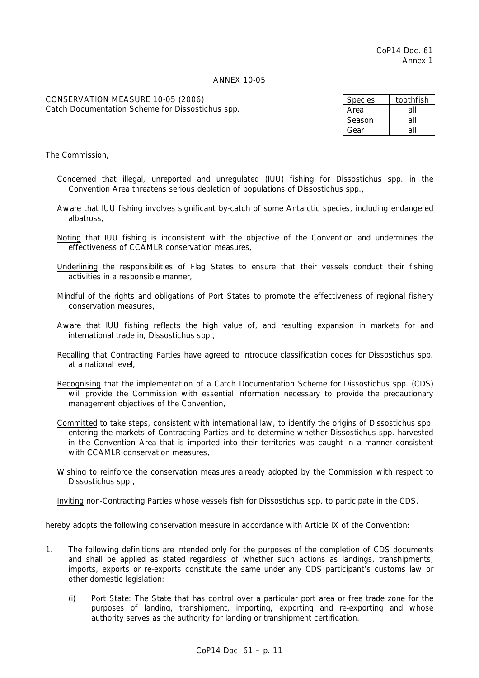# ANNEX 10-05

## CONSERVATION MEASURE 10-05 (2006) Catch Documentation Scheme for *Dissostichus* spp.

| <b>Species</b> | toothfish |
|----------------|-----------|
| Area           | all       |
| Season         | all       |
| Gear           | all       |

The Commission,

- Concerned that illegal, unreported and unregulated (IUU) fishing for *Dissostichus* spp. in the Convention Area threatens serious depletion of populations of *Dissostichus* spp.,
- Aware that IUU fishing involves significant by-catch of some Antarctic species, including endangered albatross
- Noting that IUU fishing is inconsistent with the objective of the Convention and undermines the **EXECUTER ENDING THE CONCERNATION MEASURES**,
- Underlining the responsibilities of Flag States to ensure that their vessels conduct their fishing activities in a responsible manner,
- Mindful of the rights and obligations of Port States to promote the effectiveness of regional fishery conservation measures,
- Aware that IUU fishing reflects the high value of, and resulting expansion in markets for and international trade in, *Dissostichus* spp.,
- Recalling that Contracting Parties have agreed to introduce classification codes for *Dissostichus* spp. at a national level,
- Recognising that the implementation of a Catch Documentation Scheme for *Dissostichus* spp. (CDS) will provide the Commission with essential information necessary to provide the precautionary management objectives of the Convention,
- Committed to take steps, consistent with international law, to identify the origins of *Dissostichus* spp. entering the markets of Contracting Parties and to determine whether *Dissostichus* spp. harvested in the Convention Area that is imported into their territories was caught in a manner consistent with CCAMLR conservation measures.
- Wishing to reinforce the conservation measures already adopted by the Commission with respect to *Dissostichus* spp.,

Inviting non-Contracting Parties whose vessels fish for *Dissostichus* spp. to participate in the CDS,

hereby adopts the following conservation measure in accordance with Article IX of the Convention:

- 1. The following definitions are intended only for the purposes of the completion of CDS documents and shall be applied as stated regardless of whether such actions as landings, transhipments, imports, exports or re-exports constitute the same under any CDS participant's customs law or other domestic legislation:
	- (i) Port State: The State that has control over a particular port area or free trade zone for the purposes of landing, transhipment, importing, exporting and re-exporting and whose authority serves as the authority for landing or transhipment certification.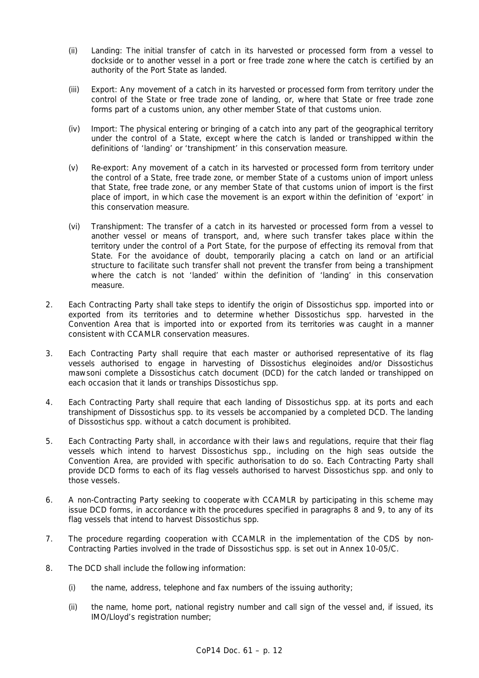- (ii) Landing: The initial transfer of catch in its harvested or processed form from a vessel to dockside or to another vessel in a port or free trade zone where the catch is certified by an authority of the Port State as landed.
- (iii) Export: Any movement of a catch in its harvested or processed form from territory under the control of the State or free trade zone of landing, or, where that State or free trade zone forms part of a customs union, any other member State of that customs union.
- (iv) Import: The physical entering or bringing of a catch into any part of the geographical territory under the control of a State, except where the catch is landed or transhipped within the definitions of 'landing' or 'transhipment' in this conservation measure.
- (v) Re-export: Any movement of a catch in its harvested or processed form from territory under the control of a State, free trade zone, or member State of a customs union of import unless that State, free trade zone, or any member State of that customs union of import is the first place of import, in which case the movement is an export within the definition of 'export' in this conservation measure.
- (vi) Transhipment: The transfer of a catch in its harvested or processed form from a vessel to another vessel or means of transport, and, where such transfer takes place within the territory under the control of a Port State, for the purpose of effecting its removal from that State. For the avoidance of doubt, temporarily placing a catch on land or an artificial structure to facilitate such transfer shall not prevent the transfer from being a transhipment where the catch is not 'landed' within the definition of 'landing' in this conservation measure.
- 2. Each Contracting Party shall take steps to identify the origin of *Dissostichus* spp. imported into or exported from its territories and to determine whether *Dissostichus* spp. harvested in the Convention Area that is imported into or exported from its territories was caught in a manner consistent with CCAMLR conservation measures.
- 3. Each Contracting Party shall require that each master or authorised representative of its flag vessels authorised to engage in harvesting of *Dissostichus eleginoides* and/or *Dissostichus mawsoni* complete a *Dissostichus* catch document (DCD) for the catch landed or transhipped on each occasion that it lands or tranships *Dissostichus* spp*.*
- 4. Each Contracting Party shall require that each landing of *Dissostichus* spp. at its ports and each transhipment of *Dissostichus* spp. to its vessels be accompanied by a completed DCD. The landing of *Dissostichus* spp. without a catch document is prohibited.
- 5. Each Contracting Party shall, in accordance with their laws and regulations, require that their flag vessels which intend to harvest *Dissostichus* spp., including on the high seas outside the Convention Area, are provided with specific authorisation to do so. Each Contracting Party shall provide DCD forms to each of its flag vessels authorised to harvest *Dissostichus* spp*.* and only to those vessels.
- 6. A non-Contracting Party seeking to cooperate with CCAMLR by participating in this scheme may issue DCD forms, in accordance with the procedures specified in paragraphs 8 and 9, to any of its flag vessels that intend to harvest *Dissostichus* spp*.*
- 7. The procedure regarding cooperation with CCAMLR in the implementation of the CDS by non-Contracting Parties involved in the trade of *Dissostichus* spp. is set out in Annex 10-05/C.
- 8. The DCD shall include the following information:
	- (i) the name, address, telephone and fax numbers of the issuing authority;
	- (ii) the name, home port, national registry number and call sign of the vessel and, if issued, its IMO/Lloyd's registration number;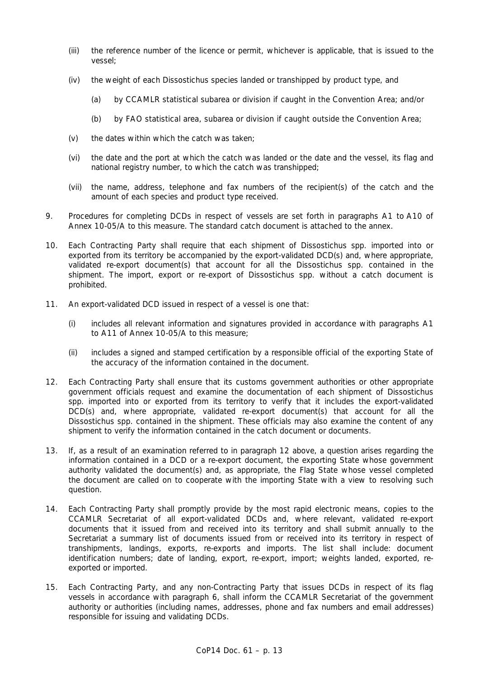- (iii) the reference number of the licence or permit, whichever is applicable, that is issued to the vessel;
- (iv) the weight of each *Dissostichus* species landed or transhipped by product type, and
	- (a) by CCAMLR statistical subarea or division if caught in the Convention Area; and/or
	- (b) by FAO statistical area, subarea or division if caught outside the Convention Area;
- (v) the dates within which the catch was taken;
- (vi) the date and the port at which the catch was landed or the date and the vessel, its flag and national registry number, to which the catch was transhipped;
- (vii) the name, address, telephone and fax numbers of the recipient(s) of the catch and the amount of each species and product type received.
- 9. Procedures for completing DCDs in respect of vessels are set forth in paragraphs A1 to A10 of Annex 10-05/A to this measure. The standard catch document is attached to the annex.
- 10. Each Contracting Party shall require that each shipment of *Dissostichus* spp. imported into or exported from its territory be accompanied by the export-validated DCD(s) and, where appropriate, validated re-export document(s) that account for all the *Dissostichus* spp*.* contained in the shipment. The import, export or re-export of *Dissostichus* spp. without a catch document is prohibited.
- 11. An export-validated DCD issued in respect of a vessel is one that:
	- (i) includes all relevant information and signatures provided in accordance with paragraphs A1 to A11 of Annex 10-05/A to this measure;
	- (ii) includes a signed and stamped certification by a responsible official of the exporting State of the accuracy of the information contained in the document.
- 12. Each Contracting Party shall ensure that its customs government authorities or other appropriate government officials request and examine the documentation of each shipment of *Dissostichus* spp. imported into or exported from its territory to verify that it includes the export-validated DCD(s) and, where appropriate, validated re-export document(s) that account for all the *Dissostichus* spp. contained in the shipment. These officials may also examine the content of any shipment to verify the information contained in the catch document or documents.
- 13. If, as a result of an examination referred to in paragraph 12 above, a question arises regarding the information contained in a DCD or a re-export document, the exporting State whose government authority validated the document(s) and, as appropriate, the Flag State whose vessel completed the document are called on to cooperate with the importing State with a view to resolving such question.
- 14. Each Contracting Party shall promptly provide by the most rapid electronic means, copies to the CCAMLR Secretariat of all export-validated DCDs and, where relevant, validated re-export documents that it issued from and received into its territory and shall submit annually to the Secretariat a summary list of documents issued from or received into its territory in respect of transhipments, landings, exports, re-exports and imports. The list shall include: document identification numbers; date of landing, export, re-export, import; weights landed, exported, reexported or imported.
- 15. Each Contracting Party, and any non-Contracting Party that issues DCDs in respect of its flag vessels in accordance with paragraph 6, shall inform the CCAMLR Secretariat of the government authority or authorities (including names, addresses, phone and fax numbers and email addresses) responsible for issuing and validating DCDs.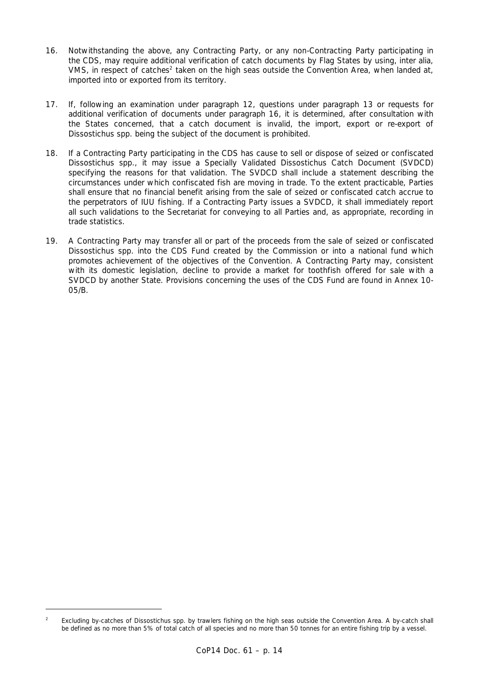- 16. Notwithstanding the above, any Contracting Party, or any non-Contracting Party participating in the CDS, may require additional verification of catch documents by Flag States by using, *inter alia*, VMS, in respect of catches<sup>2</sup> taken on the high seas outside the Convention Area, when landed at, imported into or exported from its territory.
- 17. If, following an examination under paragraph 12, questions under paragraph 13 or requests for additional verification of documents under paragraph 16, it is determined, after consultation with the States concerned, that a catch document is invalid, the import, export or re-export of *Dissostichus* spp. being the subject of the document is prohibited.
- 18. If a Contracting Party participating in the CDS has cause to sell or dispose of seized or confiscated *Dissostichus* spp., it may issue a Specially Validated *Dissostichus* Catch Document (SVDCD) specifying the reasons for that validation. The SVDCD shall include a statement describing the circumstances under which confiscated fish are moving in trade. To the extent practicable, Parties shall ensure that no financial benefit arising from the sale of seized or confiscated catch accrue to the perpetrators of IUU fishing. If a Contracting Party issues a SVDCD, it shall immediately report all such validations to the Secretariat for conveying to all Parties and, as appropriate, recording in trade statistics.
- 19. A Contracting Party may transfer all or part of the proceeds from the sale of seized or confiscated *Dissostichus* spp. into the CDS Fund created by the Commission or into a national fund which promotes achievement of the objectives of the Convention. A Contracting Party may, consistent with its domestic legislation, decline to provide a market for toothfish offered for sale with a SVDCD by another State. Provisions concerning the uses of the CDS Fund are found in Annex 10- 05/B.

*<sup>2</sup> Excluding by-catches of Dissostichus spp. by trawlers fishing on the high seas outside the Convention Area. A by-catch shall be defined as no more than 5% of total catch of all species and no more than 50 tonnes for an entire fishing trip by a vessel.*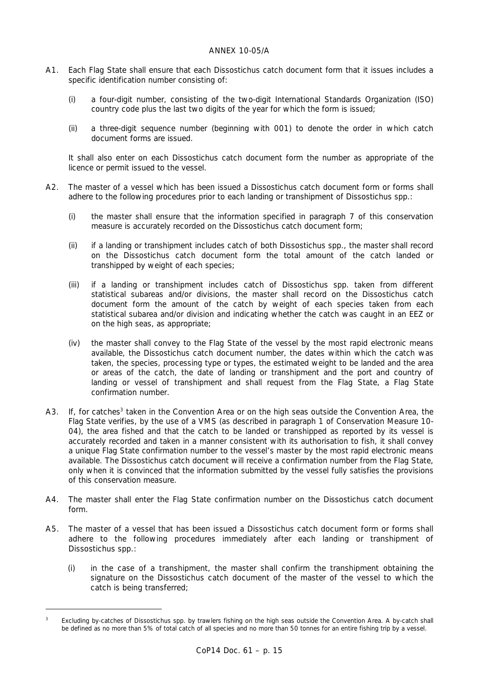## ANNEX 10-05/A

- A1. Each Flag State shall ensure that each *Dissostichus* catch document form that it issues includes a specific identification number consisting of:
	- (i) a four-digit number, consisting of the two-digit International Standards Organization (ISO) country code plus the last two digits of the year for which the form is issued;
	- (ii) a three-digit sequence number (beginning with 001) to denote the order in which catch document forms are issued.

 It shall also enter on each *Dissostichus* catch document form the number as appropriate of the licence or permit issued to the vessel.

- A2. The master of a vessel which has been issued a *Dissostichus* catch document form or forms shall adhere to the following procedures prior to each landing or transhipment of *Dissostichus* spp.:
	- (i) the master shall ensure that the information specified in paragraph 7 of this conservation measure is accurately recorded on the *Dissostichus* catch document form;
	- (ii) if a landing or transhipment includes catch of both *Dissostichus* spp*.*, the master shall record on the *Dissostichus* catch document form the total amount of the catch landed or transhipped by weight of each species;
	- (iii) if a landing or transhipment includes catch of *Dissostichus* spp*.* taken from different statistical subareas and/or divisions, the master shall record on the *Dissostichus* catch document form the amount of the catch by weight of each species taken from each statistical subarea and/or division and indicating whether the catch was caught in an EEZ or on the high seas, as appropriate;
	- (iv) the master shall convey to the Flag State of the vessel by the most rapid electronic means available, the *Dissostichus* catch document number, the dates within which the catch was taken, the species, processing type or types, the estimated weight to be landed and the area or areas of the catch, the date of landing or transhipment and the port and country of landing or vessel of transhipment and shall request from the Flag State, a Flag State confirmation number.
- A3. If, for catches<sup>3</sup> taken in the Convention Area or on the high seas outside the Convention Area, the Flag State verifies, by the use of a VMS (as described in paragraph 1 of Conservation Measure 10- 04), the area fished and that the catch to be landed or transhipped as reported by its vessel is accurately recorded and taken in a manner consistent with its authorisation to fish, it shall convey a unique Flag State confirmation number to the vessel's master by the most rapid electronic means available. The *Dissostichus* catch document will receive a confirmation number from the Flag State, only when it is convinced that the information submitted by the vessel fully satisfies the provisions of this conservation measure.
- A4. The master shall enter the Flag State confirmation number on the *Dissostichus* catch document form.
- A5. The master of a vessel that has been issued a *Dissostichus* catch document form or forms shall adhere to the following procedures immediately after each landing or transhipment of *Dissostichus* spp.:
	- (i) in the case of a transhipment, the master shall confirm the transhipment obtaining the signature on the *Dissostichus* catch document of the master of the vessel to which the catch is being transferred;

*<sup>3</sup> Excluding by-catches of Dissostichus spp. by trawlers fishing on the high seas outside the Convention Area. A by-catch shall be defined as no more than 5% of total catch of all species and no more than 50 tonnes for an entire fishing trip by a vessel.*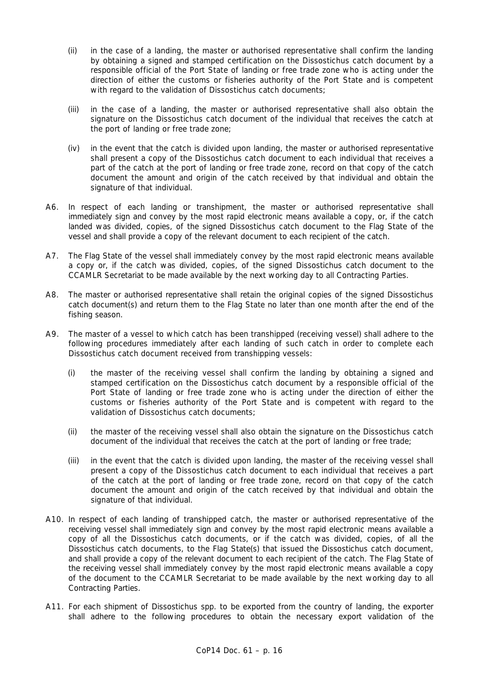- (ii) in the case of a landing, the master or authorised representative shall confirm the landing by obtaining a signed and stamped certification on the *Dissostichus* catch document by a responsible official of the Port State of landing or free trade zone who is acting under the direction of either the customs or fisheries authority of the Port State and is competent with regard to the validation of *Dissostichus* catch documents;
- (iii) in the case of a landing, the master or authorised representative shall also obtain the signature on the *Dissostichus* catch document of the individual that receives the catch at the port of landing or free trade zone;
- (iv) in the event that the catch is divided upon landing, the master or authorised representative shall present a copy of the *Dissostichus* catch document to each individual that receives a part of the catch at the port of landing or free trade zone, record on that copy of the catch document the amount and origin of the catch received by that individual and obtain the signature of that individual.
- A6. In respect of each landing or transhipment, the master or authorised representative shall immediately sign and convey by the most rapid electronic means available a copy, or, if the catch landed was divided, copies, of the signed *Dissostichus* catch document to the Flag State of the vessel and shall provide a copy of the relevant document to each recipient of the catch.
- A7. The Flag State of the vessel shall immediately convey by the most rapid electronic means available a copy or, if the catch was divided, copies, of the signed *Dissostichus* catch document to the CCAMLR Secretariat to be made available by the next working day to all Contracting Parties.
- A8. The master or authorised representative shall retain the original copies of the signed *Dissostichus* catch document(s) and return them to the Flag State no later than one month after the end of the fishing season.
- A9. The master of a vessel to which catch has been transhipped (receiving vessel) shall adhere to the following procedures immediately after each landing of such catch in order to complete each *Dissostichus* catch document received from transhipping vessels:
	- (i) the master of the receiving vessel shall confirm the landing by obtaining a signed and stamped certification on the *Dissostichus* catch document by a responsible official of the Port State of landing or free trade zone who is acting under the direction of either the customs or fisheries authority of the Port State and is competent with regard to the validation of *Dissostichus* catch documents;
	- (ii) the master of the receiving vessel shall also obtain the signature on the *Dissostichus* catch document of the individual that receives the catch at the port of landing or free trade;
	- (iii) in the event that the catch is divided upon landing, the master of the receiving vessel shall present a copy of the *Dissostichus* catch document to each individual that receives a part of the catch at the port of landing or free trade zone, record on that copy of the catch document the amount and origin of the catch received by that individual and obtain the signature of that individual.
- A10. In respect of each landing of transhipped catch, the master or authorised representative of the receiving vessel shall immediately sign and convey by the most rapid electronic means available a copy of all the *Dissostichus* catch documents, or if the catch was divided, copies, of all the *Dissostichus* catch documents, to the Flag State(s) that issued the *Dissostichus* catch document, and shall provide a copy of the relevant document to each recipient of the catch. The Flag State of the receiving vessel shall immediately convey by the most rapid electronic means available a copy of the document to the CCAMLR Secretariat to be made available by the next working day to all Contracting Parties.
- A11. For each shipment of *Dissostichus* spp. to be exported from the country of landing, the exporter shall adhere to the following procedures to obtain the necessary export validation of the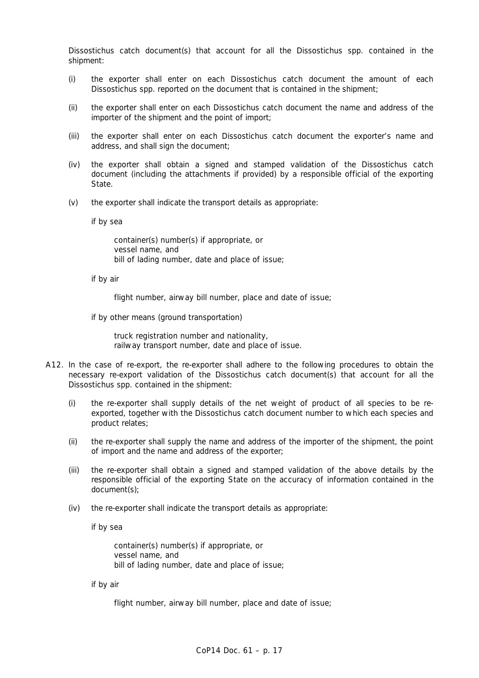*Dissostichus* catch document(s) that account for all the *Dissostichus* spp. contained in the shipment:

- (i) the exporter shall enter on each *Dissostichus* catch document the amount of each *Dissostichus* spp. reported on the document that is contained in the shipment;
- (ii) the exporter shall enter on each *Dissostichus* catch document the name and address of the importer of the shipment and the point of import;
- (iii) the exporter shall enter on each *Dissostichus* catch document the exporter's name and address, and shall sign the document;
- (iv) the exporter shall obtain a signed and stamped validation of the *Dissostichus* catch document (including the attachments if provided) by a responsible official of the exporting State.
- (v) the exporter shall indicate the transport details as appropriate:

if by sea

 container(s) number(s) if appropriate, or vessel name, and bill of lading number, date and place of issue;

if by air

flight number, airway bill number, place and date of issue;

if by other means (ground transportation)

 truck registration number and nationality, railway transport number, date and place of issue.

- A12. In the case of re-export, the re-exporter shall adhere to the following procedures to obtain the necessary re-export validation of the *Dissostichus* catch document(s) that account for all the *Dissostichus* spp. contained in the shipment:
	- (i) the re-exporter shall supply details of the net weight of product of all species to be reexported, together with the *Dissostichus* catch document number to which each species and product relates;
	- (ii) the re-exporter shall supply the name and address of the importer of the shipment, the point of import and the name and address of the exporter;
	- (iii) the re-exporter shall obtain a signed and stamped validation of the above details by the responsible official of the exporting State on the accuracy of information contained in the document(s);
	- (iv) the re-exporter shall indicate the transport details as appropriate:

if by sea

 container(s) number(s) if appropriate, or vessel name, and bill of lading number, date and place of issue;

if by air

flight number, airway bill number, place and date of issue;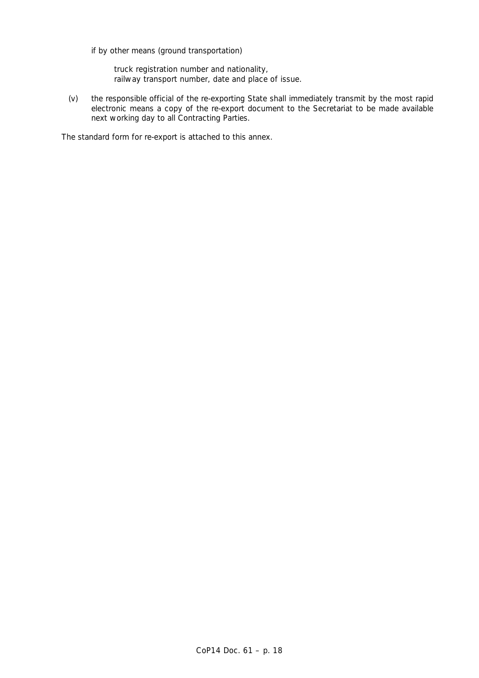if by other means (ground transportation)

 truck registration number and nationality, railway transport number, date and place of issue.

(v) the responsible official of the re-exporting State shall immediately transmit by the most rapid electronic means a copy of the re-export document to the Secretariat to be made available next working day to all Contracting Parties.

The standard form for re-export is attached to this annex.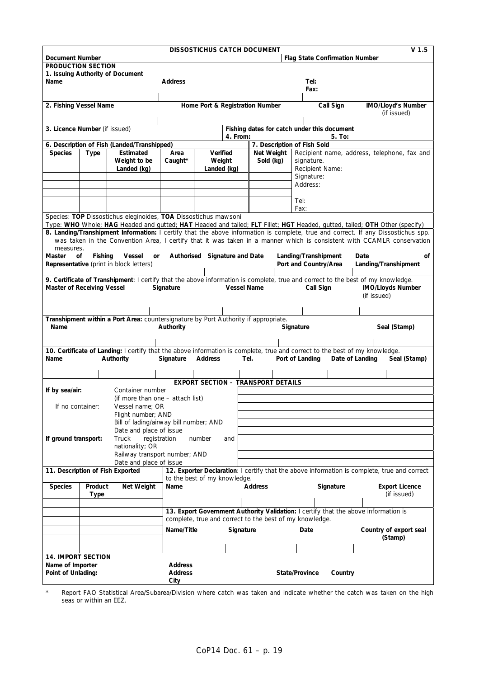| DISSOSTICHUS CATCH DOCUMENT<br>V <sub>1.5</sub>                                                                             |                      |                                                                                     |                |                                                         |                    |                |                                               |           |                                                                                                                                                                                                                                                             |
|-----------------------------------------------------------------------------------------------------------------------------|----------------------|-------------------------------------------------------------------------------------|----------------|---------------------------------------------------------|--------------------|----------------|-----------------------------------------------|-----------|-------------------------------------------------------------------------------------------------------------------------------------------------------------------------------------------------------------------------------------------------------------|
| <b>Document Number</b><br>PRODUCTION SECTION                                                                                |                      |                                                                                     |                |                                                         |                    |                | <b>Flag State Confirmation Number</b>         |           |                                                                                                                                                                                                                                                             |
|                                                                                                                             |                      | 1. Issuing Authority of Document                                                    |                |                                                         |                    |                |                                               |           |                                                                                                                                                                                                                                                             |
| Name                                                                                                                        |                      |                                                                                     | <b>Address</b> |                                                         |                    |                | Tel:                                          |           |                                                                                                                                                                                                                                                             |
|                                                                                                                             |                      |                                                                                     |                |                                                         |                    |                | Fax:                                          |           |                                                                                                                                                                                                                                                             |
|                                                                                                                             |                      |                                                                                     |                |                                                         |                    |                |                                               |           |                                                                                                                                                                                                                                                             |
| 2. Fishing Vessel Name                                                                                                      |                      |                                                                                     |                | Home Port & Registration Number                         |                    |                |                                               | Call Sign | IMO/Lloyd's Number                                                                                                                                                                                                                                          |
|                                                                                                                             |                      |                                                                                     |                |                                                         |                    |                |                                               |           | (if issued)                                                                                                                                                                                                                                                 |
| 3. Licence Number (if issued)                                                                                               |                      |                                                                                     |                |                                                         |                    |                | Fishing dates for catch under this document   |           |                                                                                                                                                                                                                                                             |
|                                                                                                                             |                      |                                                                                     |                |                                                         | 4. From:           |                |                                               | 5. To:    |                                                                                                                                                                                                                                                             |
|                                                                                                                             |                      | 6. Description of Fish (Landed/Transhipped)                                         |                |                                                         |                    |                | 7. Description of Fish Sold                   |           |                                                                                                                                                                                                                                                             |
| <b>Species</b>                                                                                                              | <b>Type</b>          | Estimated                                                                           | Area           | Verified                                                |                    | Net Weight     |                                               |           | Recipient name, address, telephone, fax and                                                                                                                                                                                                                 |
|                                                                                                                             |                      | Weight to be<br>Landed (kg)                                                         | Caught*        | Weight                                                  |                    | Sold (kg)      | signature.<br>Recipient Name:                 |           |                                                                                                                                                                                                                                                             |
|                                                                                                                             |                      |                                                                                     |                | Landed (kg)                                             |                    |                | Signature:                                    |           |                                                                                                                                                                                                                                                             |
|                                                                                                                             |                      |                                                                                     |                |                                                         |                    |                | Address:                                      |           |                                                                                                                                                                                                                                                             |
|                                                                                                                             |                      |                                                                                     |                |                                                         |                    |                |                                               |           |                                                                                                                                                                                                                                                             |
|                                                                                                                             |                      |                                                                                     |                |                                                         |                    |                | Tel:                                          |           |                                                                                                                                                                                                                                                             |
|                                                                                                                             |                      |                                                                                     |                |                                                         |                    |                | Fax:                                          |           |                                                                                                                                                                                                                                                             |
|                                                                                                                             |                      | Species: TOP Dissostichus eleginoides, TOA Dissostichus mawsoni                     |                |                                                         |                    |                |                                               |           |                                                                                                                                                                                                                                                             |
|                                                                                                                             |                      |                                                                                     |                |                                                         |                    |                |                                               |           | Type: WHO Whole; HAG Headed and gutted; HAT Headed and tailed; FLT Fillet; HGT Headed, gutted, tailed; OTH Other (specify)                                                                                                                                  |
| measures.                                                                                                                   |                      |                                                                                     |                |                                                         |                    |                |                                               |           | 8. Landing/Transhipment Information: I certify that the above information is complete, true and correct. If any Dissostichus spp.<br>was taken in the Convention Area, I certify that it was taken in a manner which is consistent with CCAMLR conservation |
| Master                                                                                                                      | οf<br><b>Fishing</b> | Vessel<br>or<br>Representative (print in block letters)                             |                | Authorised Signature and Date                           |                    |                | Landing/Transhipment<br>Port and Country/Area |           | Date<br>οf<br>Landing/Transhipment                                                                                                                                                                                                                          |
|                                                                                                                             |                      |                                                                                     |                |                                                         |                    |                |                                               |           |                                                                                                                                                                                                                                                             |
| Master of Receiving Vessel                                                                                                  |                      |                                                                                     | Signature      |                                                         | <b>Vessel Name</b> |                | Call Sign                                     |           | 9. Certificate of Transhipment: I certify that the above information is complete, true and correct to the best of my knowledge.<br><b>IMO/Lloyds Number</b><br>(if issued)                                                                                  |
|                                                                                                                             |                      |                                                                                     |                |                                                         |                    |                |                                               |           |                                                                                                                                                                                                                                                             |
|                                                                                                                             |                      | Transhipment within a Port Area: countersignature by Port Authority if appropriate. |                |                                                         |                    |                |                                               |           |                                                                                                                                                                                                                                                             |
| Name                                                                                                                        |                      |                                                                                     | Authority      |                                                         |                    |                | Signature                                     |           | Seal (Stamp)                                                                                                                                                                                                                                                |
|                                                                                                                             |                      |                                                                                     |                |                                                         |                    |                |                                               |           |                                                                                                                                                                                                                                                             |
| 10. Certificate of Landing: I certify that the above information is complete, true and correct to the best of my knowledge. |                      |                                                                                     |                |                                                         |                    |                |                                               |           |                                                                                                                                                                                                                                                             |
| Name                                                                                                                        |                      | Authority                                                                           | Signature      | <b>Address</b>                                          | Tel.               |                | Port of Landing                               |           | Date of Landing<br>Seal (Stamp)                                                                                                                                                                                                                             |
|                                                                                                                             |                      |                                                                                     |                |                                                         |                    |                |                                               |           |                                                                                                                                                                                                                                                             |
|                                                                                                                             |                      |                                                                                     |                |                                                         |                    |                |                                               |           |                                                                                                                                                                                                                                                             |
|                                                                                                                             |                      |                                                                                     |                | <b>EXPORT SECTION - TRANSPORT DETAILS</b>               |                    |                |                                               |           |                                                                                                                                                                                                                                                             |
| If by sea/air:                                                                                                              |                      | Container number                                                                    |                |                                                         |                    |                |                                               |           |                                                                                                                                                                                                                                                             |
|                                                                                                                             |                      | (if more than one – attach list)                                                    |                |                                                         |                    |                |                                               |           |                                                                                                                                                                                                                                                             |
| If no container:                                                                                                            |                      | Vessel name; OR<br>Flight number; AND                                               |                |                                                         |                    |                |                                               |           |                                                                                                                                                                                                                                                             |
|                                                                                                                             |                      | Bill of lading/airway bill number; AND                                              |                |                                                         |                    |                |                                               |           |                                                                                                                                                                                                                                                             |
|                                                                                                                             |                      | Date and place of issue                                                             |                |                                                         |                    |                |                                               |           |                                                                                                                                                                                                                                                             |
| If ground transport:                                                                                                        |                      | Truck                                                                               | registration   | number<br>and                                           |                    |                |                                               |           |                                                                                                                                                                                                                                                             |
|                                                                                                                             |                      | nationality; OR                                                                     |                |                                                         |                    |                |                                               |           |                                                                                                                                                                                                                                                             |
|                                                                                                                             |                      | Railway transport number; AND                                                       |                |                                                         |                    |                |                                               |           |                                                                                                                                                                                                                                                             |
|                                                                                                                             |                      | Date and place of issue                                                             |                |                                                         |                    |                |                                               |           |                                                                                                                                                                                                                                                             |
| 11. Description of Fish Exported                                                                                            |                      |                                                                                     |                | to the best of my knowledge.                            |                    |                |                                               |           | 12. Exporter Declaration: I certify that the above information is complete, true and correct                                                                                                                                                                |
| <b>Species</b>                                                                                                              | Product              | Net Weight                                                                          | Name           |                                                         |                    | <b>Address</b> |                                               | Signature | <b>Export Licence</b>                                                                                                                                                                                                                                       |
|                                                                                                                             | Type                 |                                                                                     |                |                                                         |                    |                |                                               |           | (if issued)                                                                                                                                                                                                                                                 |
|                                                                                                                             |                      |                                                                                     |                |                                                         |                    |                |                                               |           |                                                                                                                                                                                                                                                             |
|                                                                                                                             |                      |                                                                                     |                |                                                         |                    |                |                                               |           | 13. Export Government Authority Validation: I certify that the above information is                                                                                                                                                                         |
|                                                                                                                             |                      |                                                                                     |                | complete, true and correct to the best of my knowledge. |                    |                |                                               |           |                                                                                                                                                                                                                                                             |
|                                                                                                                             |                      |                                                                                     | Name/Title     |                                                         | Signature          |                | Date                                          |           | Country of export seal                                                                                                                                                                                                                                      |
|                                                                                                                             |                      |                                                                                     |                |                                                         |                    |                |                                               |           | (Stamp)                                                                                                                                                                                                                                                     |
|                                                                                                                             |                      |                                                                                     |                |                                                         |                    |                |                                               |           |                                                                                                                                                                                                                                                             |
| <b>14. IMPORT SECTION</b>                                                                                                   |                      |                                                                                     |                |                                                         |                    |                |                                               |           |                                                                                                                                                                                                                                                             |
| Name of Importer                                                                                                            |                      |                                                                                     | <b>Address</b> |                                                         |                    |                |                                               |           |                                                                                                                                                                                                                                                             |
| Point of Unlading:                                                                                                          |                      |                                                                                     | <b>Address</b> |                                                         |                    |                | State/Province                                | Country   |                                                                                                                                                                                                                                                             |
|                                                                                                                             |                      |                                                                                     | City           |                                                         |                    |                |                                               |           |                                                                                                                                                                                                                                                             |

*\* Report FAO Statistical Area/Subarea/Division where catch was taken and indicate whether the catch was taken on the high seas or within an EEZ.*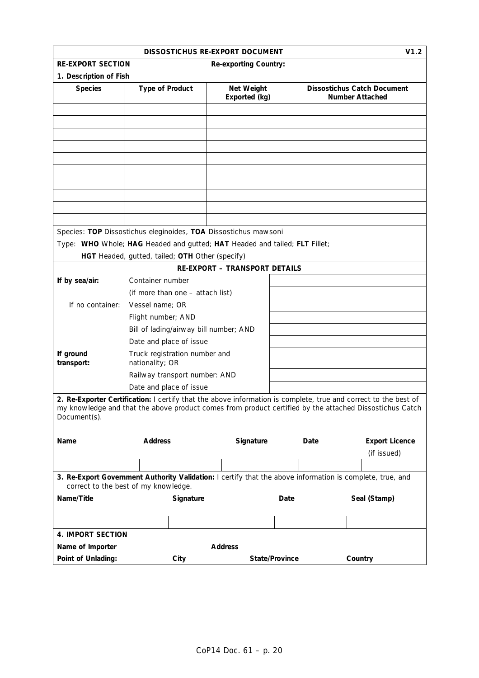| DISSOSTICHUS RE-EXPORT DOCUMENT                                                                                                                                                                                                                   |                                                                            |                               |                |                                                              |  |  |
|---------------------------------------------------------------------------------------------------------------------------------------------------------------------------------------------------------------------------------------------------|----------------------------------------------------------------------------|-------------------------------|----------------|--------------------------------------------------------------|--|--|
| <b>RE-EXPORT SECTION</b><br><b>Re-exporting Country:</b>                                                                                                                                                                                          |                                                                            |                               |                |                                                              |  |  |
| 1. Description of Fish                                                                                                                                                                                                                            |                                                                            |                               |                |                                                              |  |  |
| <b>Species</b>                                                                                                                                                                                                                                    | <b>Type of Product</b>                                                     | Net Weight<br>Exported (kg)   |                | <b>Dissostichus Catch Document</b><br><b>Number Attached</b> |  |  |
|                                                                                                                                                                                                                                                   |                                                                            |                               |                |                                                              |  |  |
|                                                                                                                                                                                                                                                   |                                                                            |                               |                |                                                              |  |  |
|                                                                                                                                                                                                                                                   |                                                                            |                               |                |                                                              |  |  |
|                                                                                                                                                                                                                                                   |                                                                            |                               |                |                                                              |  |  |
|                                                                                                                                                                                                                                                   |                                                                            |                               |                |                                                              |  |  |
|                                                                                                                                                                                                                                                   |                                                                            |                               |                |                                                              |  |  |
|                                                                                                                                                                                                                                                   |                                                                            |                               |                |                                                              |  |  |
|                                                                                                                                                                                                                                                   |                                                                            |                               |                |                                                              |  |  |
|                                                                                                                                                                                                                                                   |                                                                            |                               |                |                                                              |  |  |
|                                                                                                                                                                                                                                                   | Species: TOP Dissostichus eleginoides, TOA Dissostichus mawsoni            |                               |                |                                                              |  |  |
|                                                                                                                                                                                                                                                   | Type: WHO Whole; HAG Headed and gutted; HAT Headed and tailed; FLT Fillet; |                               |                |                                                              |  |  |
|                                                                                                                                                                                                                                                   | HGT Headed, gutted, tailed; OTH Other (specify)                            |                               |                |                                                              |  |  |
|                                                                                                                                                                                                                                                   |                                                                            | RE-EXPORT - TRANSPORT DETAILS |                |                                                              |  |  |
| If by sea/air:                                                                                                                                                                                                                                    | Container number                                                           |                               |                |                                                              |  |  |
|                                                                                                                                                                                                                                                   | (if more than one - attach list)                                           |                               |                |                                                              |  |  |
| If no container:                                                                                                                                                                                                                                  | Vessel name; OR                                                            |                               |                |                                                              |  |  |
|                                                                                                                                                                                                                                                   | Flight number; AND                                                         |                               |                |                                                              |  |  |
|                                                                                                                                                                                                                                                   | Bill of lading/airway bill number; AND                                     |                               |                |                                                              |  |  |
|                                                                                                                                                                                                                                                   | Date and place of issue                                                    |                               |                |                                                              |  |  |
| If ground<br>transport:                                                                                                                                                                                                                           | Truck registration number and<br>nationality; OR                           |                               |                |                                                              |  |  |
|                                                                                                                                                                                                                                                   | Railway transport number: AND                                              |                               |                |                                                              |  |  |
|                                                                                                                                                                                                                                                   | Date and place of issue                                                    |                               |                |                                                              |  |  |
| 2. Re-Exporter Certification: I certify that the above information is complete, true and correct to the best of<br>my knowledge and that the above product comes from product certified by the attached <i>Dissostichus</i> Catch<br>Document(s). |                                                                            |                               |                |                                                              |  |  |
| Name                                                                                                                                                                                                                                              | <b>Address</b>                                                             | Signature                     | Date           | <b>Export Licence</b>                                        |  |  |
|                                                                                                                                                                                                                                                   |                                                                            |                               |                | (if issued)                                                  |  |  |
|                                                                                                                                                                                                                                                   |                                                                            |                               |                |                                                              |  |  |
| 3. Re-Export Government Authority Validation: I certify that the above information is complete, true, and<br>correct to the best of my knowledge.                                                                                                 |                                                                            |                               |                |                                                              |  |  |
| Name/Title                                                                                                                                                                                                                                        | Signature                                                                  |                               | Date           | Seal (Stamp)                                                 |  |  |
|                                                                                                                                                                                                                                                   |                                                                            |                               |                |                                                              |  |  |
|                                                                                                                                                                                                                                                   |                                                                            |                               |                |                                                              |  |  |
| <b>4. IMPORT SECTION</b>                                                                                                                                                                                                                          |                                                                            |                               |                |                                                              |  |  |
| Name of Importer                                                                                                                                                                                                                                  |                                                                            | <b>Address</b>                |                |                                                              |  |  |
| Point of Unlading:                                                                                                                                                                                                                                | City                                                                       |                               | State/Province | Country                                                      |  |  |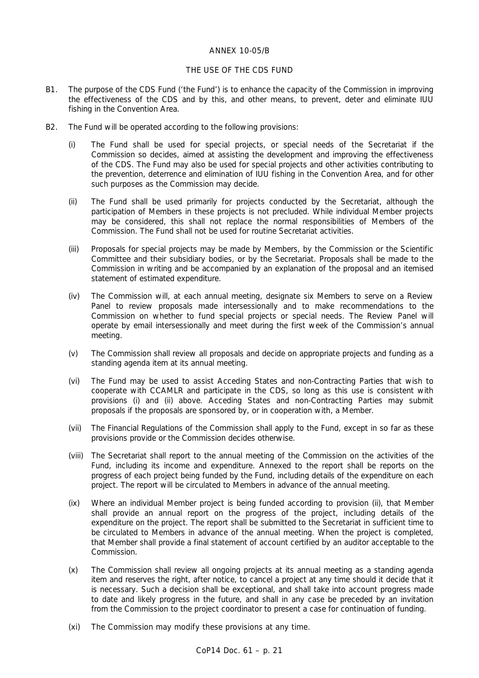## ANNEX 10-05/B

### THE USE OF THE CDS FUND

- B1. The purpose of the CDS Fund ('the Fund') is to enhance the capacity of the Commission in improving the effectiveness of the CDS and by this, and other means, to prevent, deter and eliminate IUU fishing in the Convention Area.
- B2. The Fund will be operated according to the following provisions:
	- (i) The Fund shall be used for special projects, or special needs of the Secretariat if the Commission so decides, aimed at assisting the development and improving the effectiveness of the CDS. The Fund may also be used for special projects and other activities contributing to the prevention, deterrence and elimination of IUU fishing in the Convention Area, and for other such purposes as the Commission may decide.
	- (ii) The Fund shall be used primarily for projects conducted by the Secretariat, although the participation of Members in these projects is not precluded. While individual Member projects may be considered, this shall not replace the normal responsibilities of Members of the Commission. The Fund shall not be used for routine Secretariat activities.
	- (iii) Proposals for special projects may be made by Members, by the Commission or the Scientific Committee and their subsidiary bodies, or by the Secretariat. Proposals shall be made to the Commission in writing and be accompanied by an explanation of the proposal and an itemised statement of estimated expenditure.
	- (iv) The Commission will, at each annual meeting, designate six Members to serve on a Review Panel to review proposals made intersessionally and to make recommendations to the Commission on whether to fund special projects or special needs. The Review Panel will operate by email intersessionally and meet during the first week of the Commission's annual meeting.
	- (v) The Commission shall review all proposals and decide on appropriate projects and funding as a standing agenda item at its annual meeting.
	- (vi) The Fund may be used to assist Acceding States and non-Contracting Parties that wish to cooperate with CCAMLR and participate in the CDS, so long as this use is consistent with provisions (i) and (ii) above. Acceding States and non-Contracting Parties may submit proposals if the proposals are sponsored by, or in cooperation with, a Member.
	- (vii) The Financial Regulations of the Commission shall apply to the Fund, except in so far as these provisions provide or the Commission decides otherwise.
	- (viii) The Secretariat shall report to the annual meeting of the Commission on the activities of the Fund, including its income and expenditure. Annexed to the report shall be reports on the progress of each project being funded by the Fund, including details of the expenditure on each project. The report will be circulated to Members in advance of the annual meeting.
	- (ix) Where an individual Member project is being funded according to provision (ii), that Member shall provide an annual report on the progress of the project, including details of the expenditure on the project. The report shall be submitted to the Secretariat in sufficient time to be circulated to Members in advance of the annual meeting. When the project is completed, that Member shall provide a final statement of account certified by an auditor acceptable to the **Commission**
	- (x) The Commission shall review all ongoing projects at its annual meeting as a standing agenda item and reserves the right, after notice, to cancel a project at any time should it decide that it is necessary. Such a decision shall be exceptional, and shall take into account progress made to date and likely progress in the future, and shall in any case be preceded by an invitation from the Commission to the project coordinator to present a case for continuation of funding.
	- (xi) The Commission may modify these provisions at any time.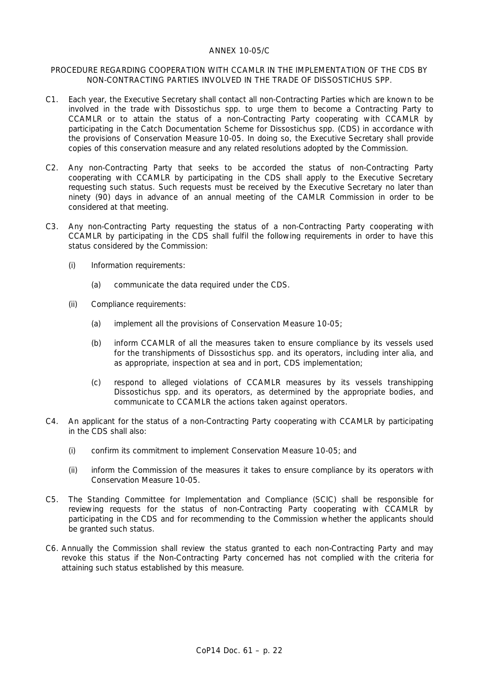#### ANNEX 10-05/C

## PROCEDURE REGARDING COOPERATION WITH CCAMLR IN THE IMPLEMENTATION OF THE CDS BY NON-CONTRACTING PARTIES INVOLVED IN THE TRADE OF *DISSOSTICHUS* SPP.

- C1. Each year, the Executive Secretary shall contact all non-Contracting Parties which are known to be involved in the trade with *Dissostichus* spp. to urge them to become a Contracting Party to CCAMLR or to attain the status of a non-Contracting Party cooperating with CCAMLR by participating in the Catch Documentation Scheme for *Dissostichus* spp. (CDS) in accordance with the provisions of Conservation Measure 10-05. In doing so, the Executive Secretary shall provide copies of this conservation measure and any related resolutions adopted by the Commission.
- C2. Any non-Contracting Party that seeks to be accorded the status of non-Contracting Party cooperating with CCAMLR by participating in the CDS shall apply to the Executive Secretary requesting such status. Such requests must be received by the Executive Secretary no later than ninety (90) days in advance of an annual meeting of the CAMLR Commission in order to be considered at that meeting.
- C3. Any non-Contracting Party requesting the status of a non-Contracting Party cooperating with CCAMLR by participating in the CDS shall fulfil the following requirements in order to have this status considered by the Commission:
	- (i) Information requirements:
		- (a) communicate the data required under the CDS.
	- (ii) Compliance requirements:
		- (a) implement all the provisions of Conservation Measure 10-05;
		- (b) inform CCAMLR of all the measures taken to ensure compliance by its vessels used for the transhipments of *Dissostichus* spp. and its operators, including *inter alia,* and as appropriate, inspection at sea and in port, CDS implementation;
		- (c) respond to alleged violations of CCAMLR measures by its vessels transhipping *Dissostichus* spp. and its operators, as determined by the appropriate bodies, and communicate to CCAMLR the actions taken against operators.
- C4. An applicant for the status of a non-Contracting Party cooperating with CCAMLR by participating in the CDS shall also:
	- (i) confirm its commitment to implement Conservation Measure 10-05; and
	- (ii) inform the Commission of the measures it takes to ensure compliance by its operators with Conservation Measure 10-05.
- C5. The Standing Committee for Implementation and Compliance (SCIC) shall be responsible for reviewing requests for the status of non-Contracting Party cooperating with CCAMLR by participating in the CDS and for recommending to the Commission whether the applicants should be granted such status.
- C6. Annually the Commission shall review the status granted to each non-Contracting Party and may revoke this status if the Non-Contracting Party concerned has not complied with the criteria for attaining such status established by this measure.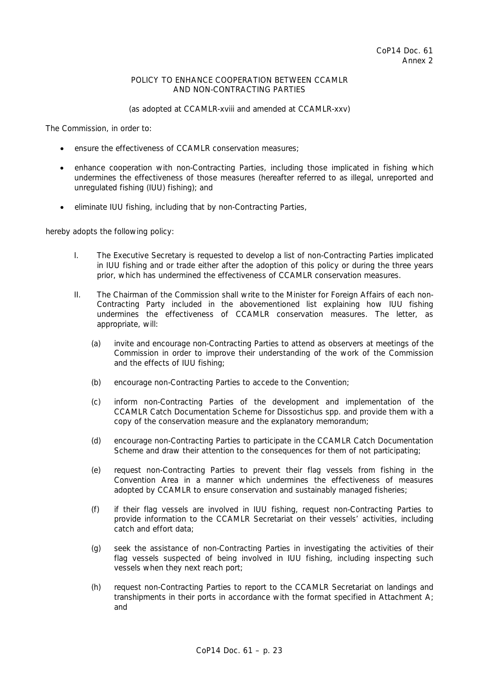#### POLICY TO ENHANCE COOPERATION BETWEEN CCAMLR AND NON-CONTRACTING PARTIES

#### (as adopted at CCAMLR-xviii and amended at CCAMLR-xxv)

The Commission, in order to:

- ensure the effectiveness of CCAMLR conservation measures;
- enhance cooperation with non-Contracting Parties, including those implicated in fishing which undermines the effectiveness of those measures (hereafter referred to as illegal, unreported and unregulated fishing (IUU) fishing); and
- eliminate IUU fishing, including that by non-Contracting Parties,

hereby adopts the following policy:

- I. The Executive Secretary is requested to develop a list of non-Contracting Parties implicated in IUU fishing and or trade either after the adoption of this policy or during the three years prior, which has undermined the effectiveness of CCAMLR conservation measures.
- II. The Chairman of the Commission shall write to the Minister for Foreign Affairs of each non-Contracting Party included in the abovementioned list explaining how IUU fishing undermines the effectiveness of CCAMLR conservation measures. The letter, as appropriate, will:
	- (a) invite and encourage non-Contracting Parties to attend as observers at meetings of the Commission in order to improve their understanding of the work of the Commission and the effects of IUU fishing;
	- (b) encourage non-Contracting Parties to accede to the Convention;
	- (c) inform non-Contracting Parties of the development and implementation of the CCAMLR Catch Documentation Scheme for *Dissostichus* spp. and provide them with a copy of the conservation measure and the explanatory memorandum;
	- (d) encourage non-Contracting Parties to participate in the CCAMLR Catch Documentation Scheme and draw their attention to the consequences for them of not participating;
	- (e) request non-Contracting Parties to prevent their flag vessels from fishing in the Convention Area in a manner which undermines the effectiveness of measures adopted by CCAMLR to ensure conservation and sustainably managed fisheries;
	- (f) if their flag vessels are involved in IUU fishing, request non-Contracting Parties to provide information to the CCAMLR Secretariat on their vessels' activities, including catch and effort data;
	- (g) seek the assistance of non-Contracting Parties in investigating the activities of their flag vessels suspected of being involved in IUU fishing, including inspecting such vessels when they next reach port;
	- (h) request non-Contracting Parties to report to the CCAMLR Secretariat on landings and transhipments in their ports in accordance with the format specified in Attachment A; and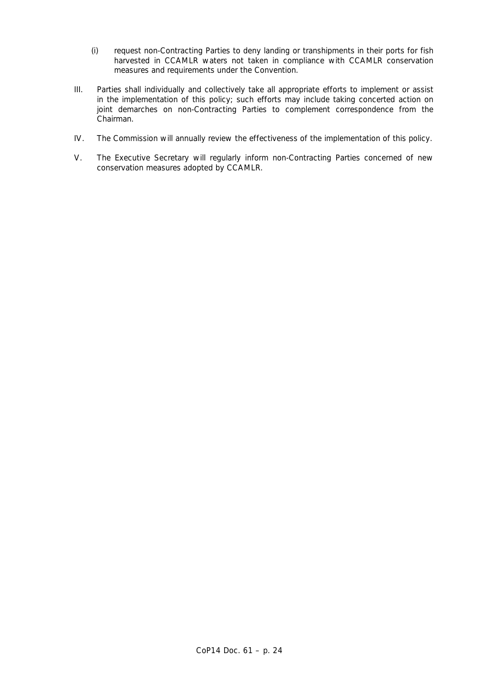- (i) request non-Contracting Parties to deny landing or transhipments in their ports for fish harvested in CCAMLR waters not taken in compliance with CCAMLR conservation measures and requirements under the Convention.
- III. Parties shall individually and collectively take all appropriate efforts to implement or assist in the implementation of this policy; such efforts may include taking concerted action on joint demarches on non-Contracting Parties to complement correspondence from the Chairman.
- IV. The Commission will annually review the effectiveness of the implementation of this policy.
- V. The Executive Secretary will regularly inform non-Contracting Parties concerned of new conservation measures adopted by CCAMLR.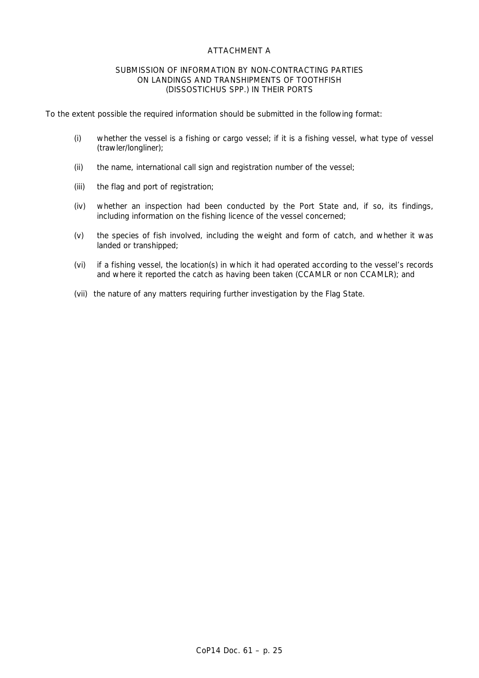# ATTACHMENT A

## SUBMISSION OF INFORMATION BY NON-CONTRACTING PARTIES ON LANDINGS AND TRANSHIPMENTS OF TOOTHFISH (*DISSOSTICHUS* SPP.) IN THEIR PORTS

To the extent possible the required information should be submitted in the following format:

- (i) whether the vessel is a fishing or cargo vessel; if it is a fishing vessel, what type of vessel (trawler/longliner);
- (ii) the name, international call sign and registration number of the vessel;
- (iii) the flag and port of registration;
- (iv) whether an inspection had been conducted by the Port State and, if so, its findings, including information on the fishing licence of the vessel concerned;
- (v) the species of fish involved, including the weight and form of catch, and whether it was landed or transhipped;
- (vi) if a fishing vessel, the location(s) in which it had operated according to the vessel's records and where it reported the catch as having been taken (CCAMLR or non CCAMLR); and
- (vii) the nature of any matters requiring further investigation by the Flag State.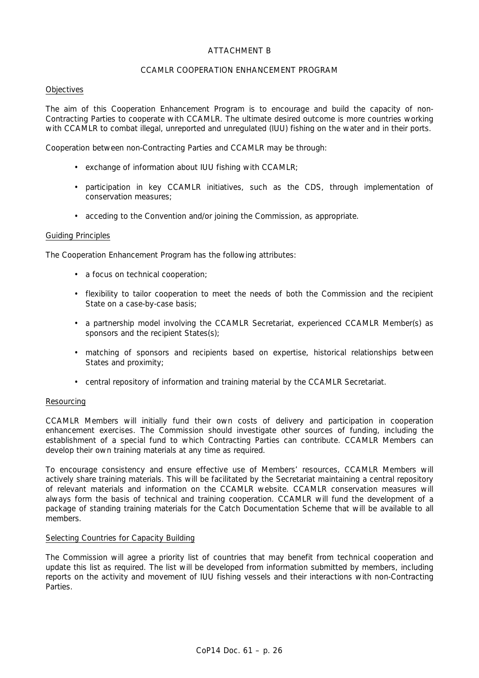# ATTACHMENT B

### CCAMLR COOPERATION ENHANCEMENT PROGRAM

## **Objectives**

The aim of this Cooperation Enhancement Program is to encourage and build the capacity of non-Contracting Parties to cooperate with CCAMLR. The ultimate desired outcome is more countries working with CCAMLR to combat illegal, unreported and unregulated (IUU) fishing on the water and in their ports.

Cooperation between non-Contracting Parties and CCAMLR may be through:

- exchange of information about IUU fishing with CCAMLR;
- participation in key CCAMLR initiatives, such as the CDS, through implementation of conservation measures;
- acceding to the Convention and/or joining the Commission, as appropriate.

#### Guiding Principles

The Cooperation Enhancement Program has the following attributes:

- a focus on technical cooperation;
- flexibility to tailor cooperation to meet the needs of both the Commission and the recipient State on a case-by-case basis;
- a partnership model involving the CCAMLR Secretariat, experienced CCAMLR Member(s) as sponsors and the recipient States(s);
- matching of sponsors and recipients based on expertise, historical relationships between States and proximity;
- central repository of information and training material by the CCAMLR Secretariat.

### Resourcing

CCAMLR Members will initially fund their own costs of delivery and participation in cooperation enhancement exercises. The Commission should investigate other sources of funding, including the establishment of a special fund to which Contracting Parties can contribute. CCAMLR Members can develop their own training materials at any time as required.

To encourage consistency and ensure effective use of Members' resources, CCAMLR Members will actively share training materials. This will be facilitated by the Secretariat maintaining a central repository of relevant materials and information on the CCAMLR website. CCAMLR conservation measures will always form the basis of technical and training cooperation. CCAMLR will fund the development of a package of standing training materials for the Catch Documentation Scheme that will be available to all members.

#### Selecting Countries for Capacity Building

The Commission will agree a priority list of countries that may benefit from technical cooperation and update this list as required. The list will be developed from information submitted by members, including reports on the activity and movement of IUU fishing vessels and their interactions with non-Contracting Parties.